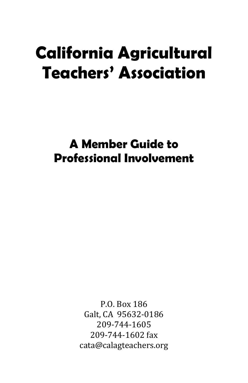# **California Agricultural Teachers' Association**

**A Member Guide to Professional Involvement**

> P.O. Box 186 Galt, CA 95632-0186 209-744-1605 209-744-1602 fax cata@calagteachers.org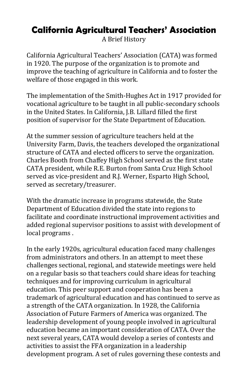# **California Agricultural Teachers' Association**

A Brief History

California Agricultural Teachers' Association (CATA) was formed in 1920. The purpose of the organization is to promote and improve the teaching of agriculture in California and to foster the welfare of those engaged in this work.

The implementation of the Smith-Hughes Act in 1917 provided for vocational agriculture to be taught in all public-secondary schools in the United States. In California, J.B. Lillard filled the first position of supervisor for the State Department of Education.

At the summer session of agriculture teachers held at the University Farm, Davis, the teachers developed the organizational structure of CATA and elected officers to serve the organization. Charles Booth from Chaffey High School served as the first state CATA president, while R.E. Burton from Santa Cruz High School served as vice-president and R.J. Werner, Esparto High School, served as secretary/treasurer.

With the dramatic increase in programs statewide, the State Department of Education divided the state into regions to facilitate and coordinate instructional improvement activities and added regional supervisor positions to assist with development of local programs .

In the early 1920s, agricultural education faced many challenges from administrators and others. In an attempt to meet these challenges sectional, regional, and statewide meetings were held on a regular basis so that teachers could share ideas for teaching techniques and for improving curriculum in agricultural education. This peer support and cooperation has been a trademark of agricultural education and has continued to serve as a strength of the CATA organization. In 1928, the California Association of Future Farmers of America was organized. The leadership development of young people involved in agricultural education became an important consideration of CATA. Over the next several years, CATA would develop a series of contests and activities to assist the FFA organization in a leadership development program. A set of rules governing these contests and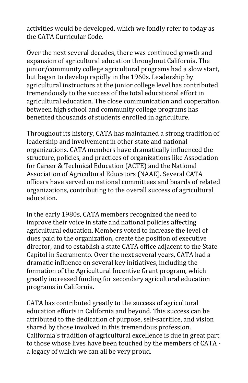activities would be developed, which we fondly refer to today as the CATA Curricular Code.

Over the next several decades, there was continued growth and expansion of agricultural education throughout California. The junior/community college agricultural programs had a slow start, but began to develop rapidly in the 1960s. Leadership by agricultural instructors at the junior college level has contributed tremendously to the success of the total educational effort in agricultural education. The close communication and cooperation between high school and community college programs has benefited thousands of students enrolled in agriculture.

Throughout its history, CATA has maintained a strong tradition of leadership and involvement in other state and national organizations. CATA members have dramatically influenced the structure, policies, and practices of organizations like Association for Career & Technical Education (ACTE) and the National Association of Agricultural Educators (NAAE). Several CATA officers have served on national committees and boards of related organizations, contributing to the overall success of agricultural education.

In the early 1980s, CATA members recognized the need to improve their voice in state and national policies affecting agricultural education. Members voted to increase the level of dues paid to the organization, create the position of executive director, and to establish a state CATA office adjacent to the State Capitol in Sacramento. Over the next several years, CATA had a dramatic influence on several key initiatives, including the formation of the Agricultural Incentive Grant program, which greatly increased funding for secondary agricultural education programs in California.

CATA has contributed greatly to the success of agricultural education efforts in California and beyond. This success can be attributed to the dedication of purpose, self-sacrifice, and vision shared by those involved in this tremendous profession. California's tradition of agricultural excellence is due in great part to those whose lives have been touched by the members of CATA a legacy of which we can all be very proud.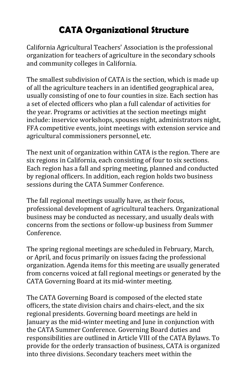# **CATA Organizational Structure**

California Agricultural Teachers' Association is the professional organization for teachers of agriculture in the secondary schools and community colleges in California.

The smallest subdivision of CATA is the section, which is made up of all the agriculture teachers in an identified geographical area, usually consisting of one to four counties in size. Each section has a set of elected officers who plan a full calendar of activities for the year. Programs or activities at the section meetings might include: inservice workshops, spouses night, administrators night, FFA competitive events, joint meetings with extension service and agricultural commissioners personnel, etc.

The next unit of organization within CATA is the region. There are six regions in California, each consisting of four to six sections. Each region has a fall and spring meeting, planned and conducted by regional officers. In addition, each region holds two business sessions during the CATA Summer Conference.

The fall regional meetings usually have, as their focus, professional development of agricultural teachers. Organizational business may be conducted as necessary, and usually deals with concerns from the sections or follow-up business from Summer Conference.

The spring regional meetings are scheduled in February, March, or April, and focus primarily on issues facing the professional organization. Agenda items for this meeting are usually generated from concerns voiced at fall regional meetings or generated by the CATA Governing Board at its mid-winter meeting.

The CATA Governing Board is composed of the elected state officers, the state division chairs and chairs-elect, and the six regional presidents. Governing board meetings are held in January as the mid-winter meeting and June in conjunction with the CATA Summer Conference. Governing Board duties and responsibilities are outlined in Article VIII of the CATA Bylaws. To provide for the orderly transaction of business, CATA is organized into three divisions. Secondary teachers meet within the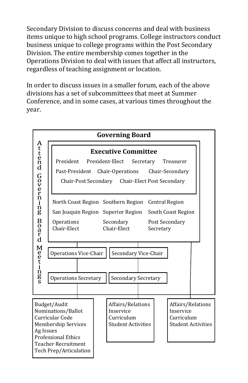Secondary Division to discuss concerns and deal with business items unique to high school programs. College instructors conduct business unique to college programs within the Post Secondary Division. The entire membership comes together in the Operations Division to deal with issues that affect all instructors, regardless of teaching assignment or location.

In order to discuss issues in a smaller forum, each of the above divisions has a set of subcommittees that meet at Summer Conference, and in some cases, at various times throughout the year.

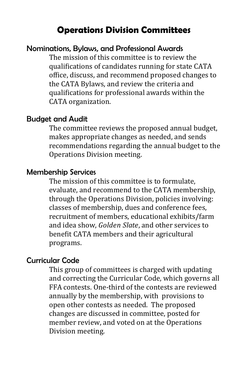# **Operations Division Committees**

#### Nominations, Bylaws, and Professional Awards

The mission of this committee is to review the qualifications of candidates running for state CATA office, discuss, and recommend proposed changes to the CATA Bylaws, and review the criteria and qualifications for professional awards within the CATA organization.

#### Budget and Audit

The committee reviews the proposed annual budget, makes appropriate changes as needed, and sends recommendations regarding the annual budget to the Operations Division meeting.

#### Membership Services

The mission of this committee is to formulate, evaluate, and recommend to the CATA membership, through the Operations Division, policies involving: classes of membership, dues and conference fees, recruitment of members, educational exhibits/farm and idea show, *Golden Slate*, and other services to benefit CATA members and their agricultural programs.

#### Curricular Code

This group of committees is charged with updating and correcting the Curricular Code, which governs all FFA contests. One-third of the contests are reviewed annually by the membership, with provisions to open other contests as needed. The proposed changes are discussed in committee, posted for member review, and voted on at the Operations Division meeting.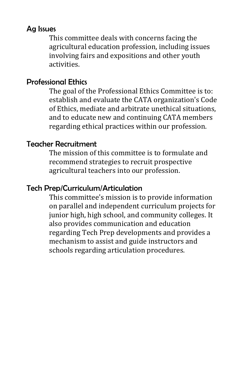## Ag Issues

This committee deals with concerns facing the agricultural education profession, including issues involving fairs and expositions and other youth activities.

# Professional Ethics

The goal of the Professional Ethics Committee is to: establish and evaluate the CATA organization's Code of Ethics, mediate and arbitrate unethical situations, and to educate new and continuing CATA members regarding ethical practices within our profession.

# Teacher Recruitment

The mission of this committee is to formulate and recommend strategies to recruit prospective agricultural teachers into our profession.

# Tech Prep/Curriculum/Articulation

This committee's mission is to provide information on parallel and independent curriculum projects for junior high, high school, and community colleges. It also provides communication and education regarding Tech Prep developments and provides a mechanism to assist and guide instructors and schools regarding articulation procedures.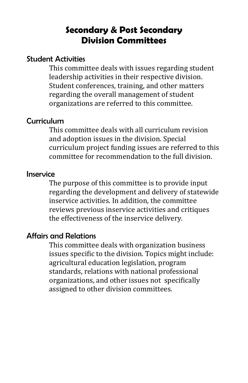# **Secondary & Post Secondary Division Committees**

#### Student Activities

This committee deals with issues regarding student leadership activities in their respective division. Student conferences, training, and other matters regarding the overall management of student organizations are referred to this committee.

#### Curriculum

This committee deals with all curriculum revision and adoption issues in the division. Special curriculum project funding issues are referred to this committee for recommendation to the full division.

#### Inservice

The purpose of this committee is to provide input regarding the development and delivery of statewide inservice activities. In addition, the committee reviews previous inservice activities and critiques the effectiveness of the inservice delivery.

#### Affairs and Relations

This committee deals with organization business issues specific to the division. Topics might include: agricultural education legislation, program standards, relations with national professional organizations, and other issues not specifically assigned to other division committees.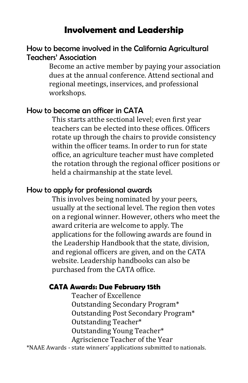# **Involvement and Leadership**

### How to become involved in the California Agricultural Teachers' Association

Become an active member by paying your association dues at the annual conference. Attend sectional and regional meetings, inservices, and professional workshops.

## How to become an officer in CATA

This starts atthe sectional level; even first year teachers can be elected into these offices. Officers rotate up through the chairs to provide consistency within the officer teams. In order to run for state office, an agriculture teacher must have completed the rotation through the regional officer positions or held a chairmanship at the state level.

### How to apply for professional awards

This involves being nominated by your peers, usually at the sectional level. The region then votes on a regional winner. However, others who meet the award criteria are welcome to apply. The applications for the following awards are found in the Leadership Handbook that the state, division, and regional officers are given, and on the CATA website. Leadership handbooks can also be purchased from the CATA office.

#### **CATA Awards: Due February 15th**

Teacher of Excellence Outstanding Secondary Program\* Outstanding Post Secondary Program\* Outstanding Teacher\* Outstanding Young Teacher\* Agriscience Teacher of the Year

\*NAAE Awards - state winners' applications submitted to nationals.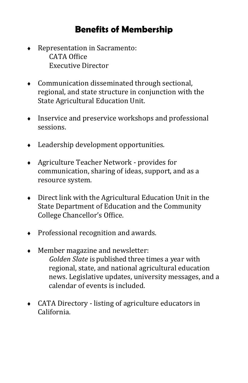# **Benefits of Membership**

- Representation in Sacramento: CATA Office Executive Director
- Communication disseminated through sectional, regional, and state structure in conjunction with the State Agricultural Education Unit.
- Inservice and preservice workshops and professional sessions.
- Leadership development opportunities.
- Agriculture Teacher Network provides for communication, sharing of ideas, support, and as a resource system.
- Direct link with the Agricultural Education Unit in the State Department of Education and the Community College Chancellor's Office.
- Professional recognition and awards.
- Member magazine and newsletter: *Golden Slate* is published three times a year with regional, state, and national agricultural education news. Legislative updates, university messages, and a calendar of events is included.
- CATA Directory listing of agriculture educators in California.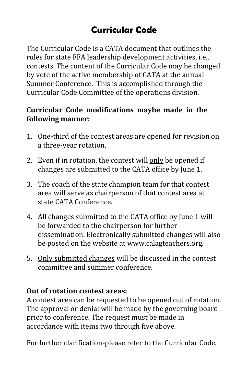# **Curricular Code**

The Curricular Code is a CATA document that outlines the rules for state FFA leadership development activities, i.e., contests. The content of the Curricular Code may be changed by vote of the active membership of CATA at the annual Summer Conference. This is accomplished through the Curricular Code Committee of the operations division.

### **Curricular Code modifications maybe made in the following manner:**

- 1. One-third of the contest areas are opened for revision on a three-year rotation.
- 2. Even if in rotation, the contest will only be opened if changes are submitted to the CATA office by June 1.
- 3. The coach of the state champion team for that contest area will serve as chairperson of that contest area at state CATA Conference.
- 4. All changes submitted to the CATA office by June 1 will be forwarded to the chairperson for further dissemination. Electronically submitted changes will also be posted on the website at www.calagteachers.org.
- 5. Only submitted changes will be discussed in the contest committee and summer conference.

## **Out of rotation contest areas:**

A contest area can be requested to be opened out of rotation. The approval or denial will be made by the governing board prior to conference. The request must be made in accordance with items two through five above.

For further clarification-please refer to the Curricular Code.